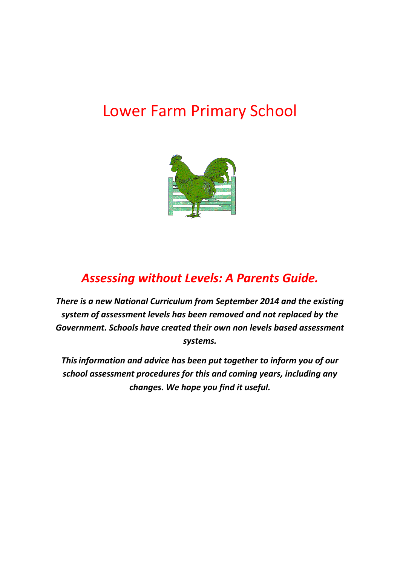# Lower Farm Primary School



## *Assessing without Levels: A Parents Guide.*

*There is a new National Curriculum from September 2014 and the existing system of assessment levels has been removed and not replaced by the Government. Schools have created their own non levels based assessment systems.* 

*Thisinformation and advice has been put together to inform you of our school assessment procedures for this and coming years, including any changes. We hope you find it useful.*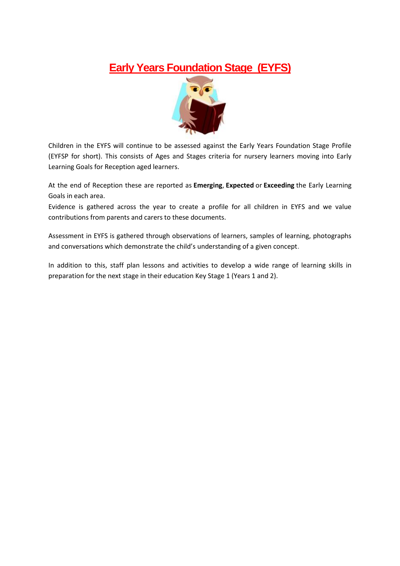### **Early Years Foundation Stage (EYFS)**



Children in the EYFS will continue to be assessed against the Early Years Foundation Stage Profile (EYFSP for short). This consists of Ages and Stages criteria for nursery learners moving into Early Learning Goals for Reception aged learners.

At the end of Reception these are reported as **Emerging**, **Expected** or **Exceeding** the Early Learning Goals in each area.

Evidence is gathered across the year to create a profile for all children in EYFS and we value contributions from parents and carers to these documents.

Assessment in EYFS is gathered through observations of learners, samples of learning, photographs and conversations which demonstrate the child's understanding of a given concept.

In addition to this, staff plan lessons and activities to develop a wide range of learning skills in preparation for the next stage in their education Key Stage 1 (Years 1 and 2).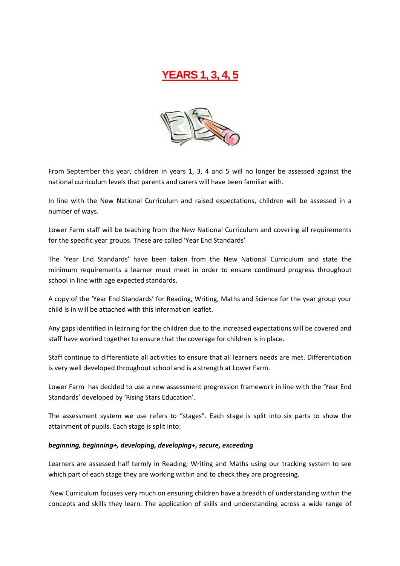## **YEARS 1, 3, 4, 5**



From September this year, children in years 1, 3, 4 and 5 will no longer be assessed against the national curriculum levels that parents and carers will have been familiar with.

In line with the New National Curriculum and raised expectations, children will be assessed in a number of ways.

Lower Farm staff will be teaching from the New National Curriculum and covering all requirements for the specific year groups. These are called 'Year End Standards'

The 'Year End Standards' have been taken from the New National Curriculum and state the minimum requirements a learner must meet in order to ensure continued progress throughout school in line with age expected standards.

A copy of the 'Year End Standards' for Reading, Writing, Maths and Science for the year group your child is in will be attached with this information leaflet.

Any gaps identified in learning for the children due to the increased expectations will be covered and staff have worked together to ensure that the coverage for children is in place.

Staff continue to differentiate all activities to ensure that all learners needs are met. Differentiation is very well developed throughout school and is a strength at Lower Farm.

Lower Farm has decided to use a new assessment progression framework in line with the 'Year End Standards' developed by 'Rising Stars Education'.

The assessment system we use refers to "stages". Each stage is split into six parts to show the attainment of pupils. Each stage is split into:

#### *beginning, beginning+, developing, developing+, secure, exceeding*

Learners are assessed half termly in Reading; Writing and Maths using our tracking system to see which part of each stage they are working within and to check they are progressing.

New Curriculum focuses very much on ensuring children have a breadth of understanding within the concepts and skills they learn. The application of skills and understanding across a wide range of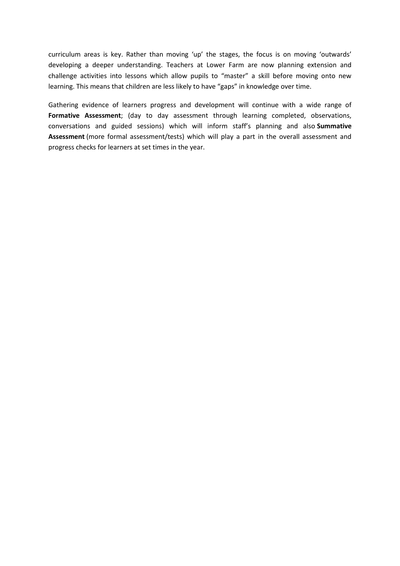curriculum areas is key. Rather than moving 'up' the stages, the focus is on moving 'outwards' developing a deeper understanding. Teachers at Lower Farm are now planning extension and challenge activities into lessons which allow pupils to "master" a skill before moving onto new learning. This means that children are less likely to have "gaps" in knowledge over time.

Gathering evidence of learners progress and development will continue with a wide range of **Formative Assessment**; (day to day assessment through learning completed, observations, conversations and guided sessions) which will inform staff's planning and also **Summative Assessment** (more formal assessment/tests) which will play a part in the overall assessment and progress checks for learners at set times in the year.